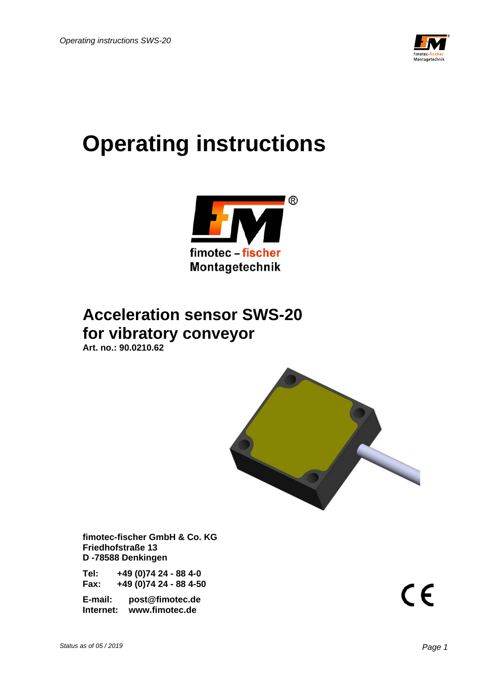

# **Operating instructions**



# **Acceleration sensor SWS-20 for vibratory conveyor**

 **Art. no.: 90.0210.62** 



 **fimotec-fischer GmbH & Co. KG Friedhofstraße 13 D -78588 Denkingen** 

 **Tel: +49 (0)74 24 - 88 4-0 Fax: +49 (0)74 24 - 88 4-50** 

 **E-mail: post@fimotec.de Internet: www.fimotec.de** 

 $\epsilon$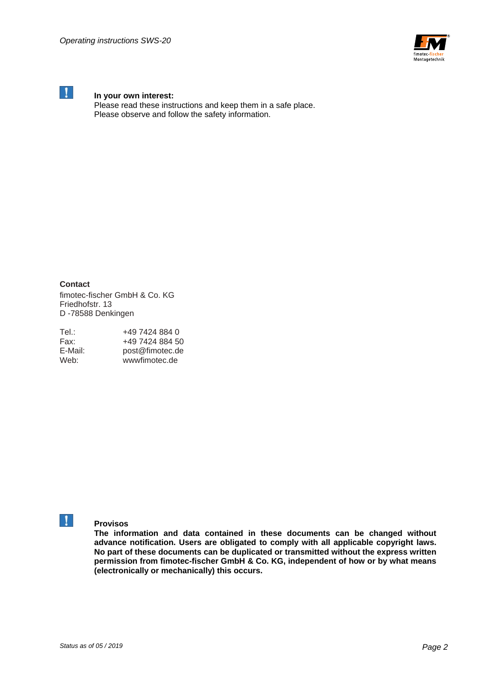



# **In your own interest:**

 Please read these instructions and keep them in a safe place. Please observe and follow the safety information.

**Contact**  fimotec-fischer GmbH & Co. KG Friedhofstr. 13 D -78588 Denkingen

| Tel.∶   | +49 7424 884 0  |
|---------|-----------------|
| Fax:    | +49 7424 884 50 |
| E-Mail: | post@fimotec.de |
| Web:    | wwwfimotec.de   |



# **Provisos**

**The information and data contained in these documents can be changed without advance notification. Users are obligated to comply with all applicable copyright laws. No part of these documents can be duplicated or transmitted without the express written permission from fimotec-fischer GmbH & Co. KG, independent of how or by what means (electronically or mechanically) this occurs.**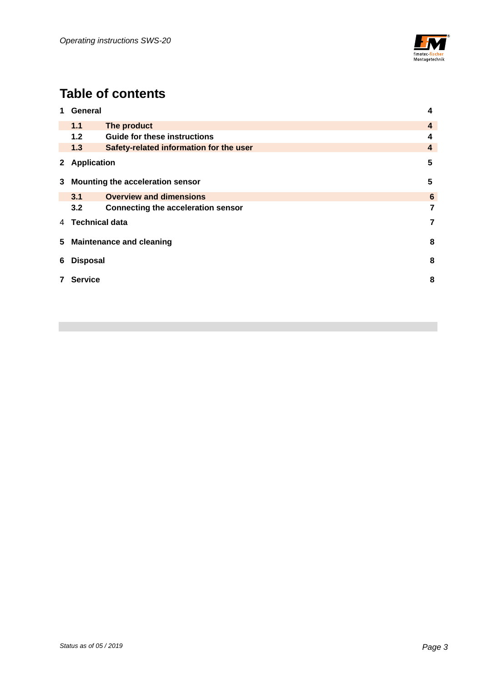

# **Table of contents**

| $\mathbf 1$ | General                    |                                           | 4                       |
|-------------|----------------------------|-------------------------------------------|-------------------------|
|             | 1.1                        | The product                               | 4                       |
|             | 1.2 <sub>2</sub>           | <b>Guide for these instructions</b>       | 4                       |
|             | 1.3                        | Safety-related information for the user   | $\overline{\mathbf{4}}$ |
|             | 2 Application              |                                           | 5                       |
|             |                            | 3 Mounting the acceleration sensor        | $5\phantom{.0}$         |
|             | 3.1                        | <b>Overview and dimensions</b>            | 6                       |
|             | 3.2                        | <b>Connecting the acceleration sensor</b> | 7                       |
|             | 4 Technical data           |                                           | 7                       |
|             | 5 Maintenance and cleaning |                                           | 8                       |
| 6           | <b>Disposal</b>            |                                           | 8                       |
|             | <b>Service</b>             |                                           | 8                       |
|             |                            |                                           |                         |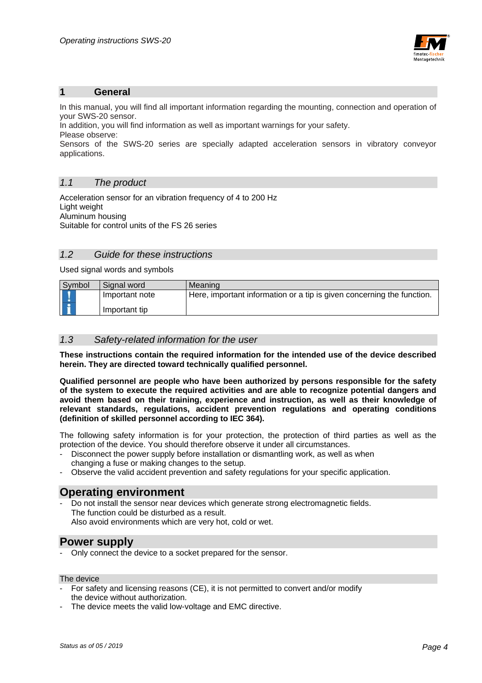

# **1 General**

In this manual, you will find all important information regarding the mounting, connection and operation of your SWS-20 sensor.

In addition, you will find information as well as important warnings for your safety.

Please observe:

Sensors of the SWS-20 series are specially adapted acceleration sensors in vibratory conveyor applications.

# *1.1 The product*

Acceleration sensor for an vibration frequency of 4 to 200 Hz Light weight Aluminum housing Suitable for control units of the FS 26 series

# *1.2 Guide for these instructions*

Used signal words and symbols

| Symbol | Signal word    | Meaning                                                                |
|--------|----------------|------------------------------------------------------------------------|
|        | Important note | Here, important information or a tip is given concerning the function. |
|        | Important tip  |                                                                        |

# *1.3 Safety-related information for the user*

**These instructions contain the required information for the intended use of the device described herein. They are directed toward technically qualified personnel.** 

**Qualified personnel are people who have been authorized by persons responsible for the safety of the system to execute the required activities and are able to recognize potential dangers and avoid them based on their training, experience and instruction, as well as their knowledge of relevant standards, regulations, accident prevention regulations and operating conditions (definition of skilled personnel according to IEC 364).** 

The following safety information is for your protection, the protection of third parties as well as the protection of the device. You should therefore observe it under all circumstances.

- Disconnect the power supply before installation or dismantling work, as well as when changing a fuse or making changes to the setup.
- Observe the valid accident prevention and safety regulations for your specific application.

# **Operating environment**

Do not install the sensor near devices which generate strong electromagnetic fields. The function could be disturbed as a result. Also avoid environments which are very hot, cold or wet.

# **Power supply**

Only connect the device to a socket prepared for the sensor.

#### The device

- For safety and licensing reasons (CE), it is not permitted to convert and/or modify the device without authorization.
- The device meets the valid low-voltage and EMC directive.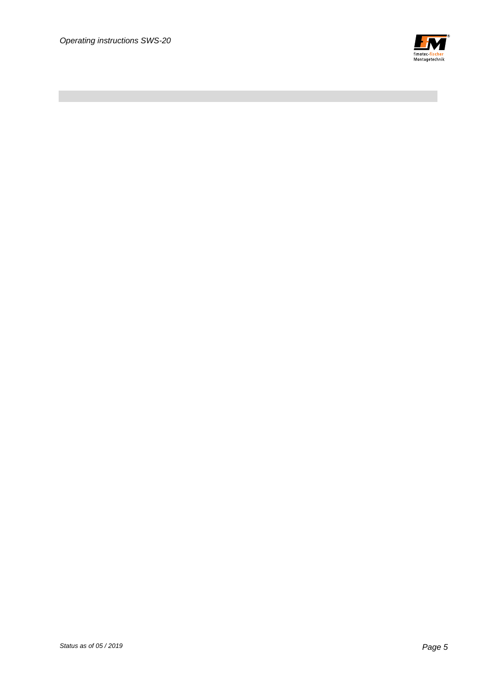*Operating instructions SWS-20* 

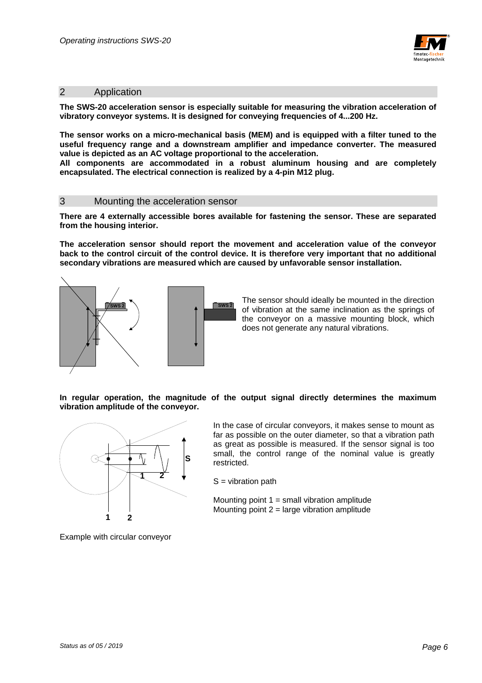

## 2 Application

**The SWS-20 acceleration sensor is especially suitable for measuring the vibration acceleration of vibratory conveyor systems. It is designed for conveying frequencies of 4...200 Hz.** 

**The sensor works on a micro-mechanical basis (MEM) and is equipped with a filter tuned to the useful frequency range and a downstream amplifier and impedance converter. The measured value is depicted as an AC voltage proportional to the acceleration.** 

**All components are accommodated in a robust aluminum housing and are completely encapsulated. The electrical connection is realized by a 4-pin M12 plug.** 

# 3 Mounting the acceleration sensor

**There are 4 externally accessible bores available for fastening the sensor. These are separated from the housing interior.** 

**The acceleration sensor should report the movement and acceleration value of the conveyor back to the control circuit of the control device. It is therefore very important that no additional secondary vibrations are measured which are caused by unfavorable sensor installation.** 



**SWS 2** The sensor should ideally be mounted in the direction of vibration at the same inclination as the springs of the conveyor on a massive mounting block, which does not generate any natural vibrations.

**In regular operation, the magnitude of the output signal directly determines the maximum vibration amplitude of the conveyor.** 



Example with circular conveyor

In the case of circular conveyors, it makes sense to mount as far as possible on the outer diameter, so that a vibration path as great as possible is measured. If the sensor signal is too small, the control range of the nominal value is greatly restricted.

 $S =$  vibration path

Mounting point  $1 =$  small vibration amplitude Mounting point  $2 = \text{large vibration amplitude}$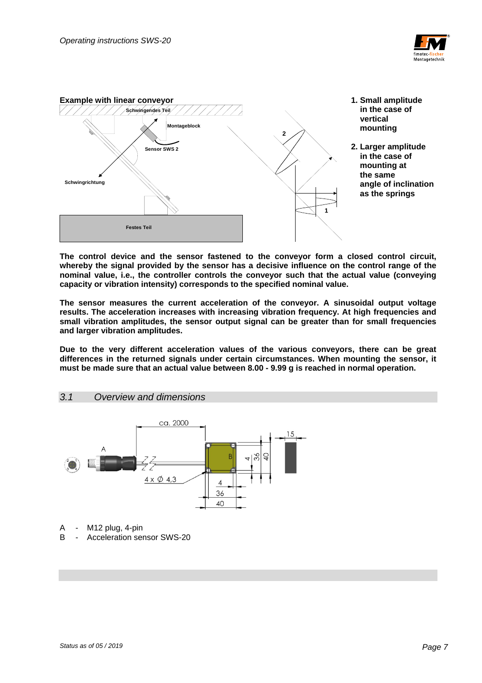



**The control device and the sensor fastened to the conveyor form a closed control circuit, whereby the signal provided by the sensor has a decisive influence on the control range of the nominal value, i.e., the controller controls the conveyor such that the actual value (conveying capacity or vibration intensity) corresponds to the specified nominal value.** 

**The sensor measures the current acceleration of the conveyor. A sinusoidal output voltage results. The acceleration increases with increasing vibration frequency. At high frequencies and small vibration amplitudes, the sensor output signal can be greater than for small frequencies and larger vibration amplitudes.** 

**Due to the very different acceleration values of the various conveyors, there can be great differences in the returned signals under certain circumstances. When mounting the sensor, it must be made sure that an actual value between 8.00 - 9.99 g is reached in normal operation.** 

# *3.1 Overview and dimensions*



- A - M12 plug, 4-pin
- B - Acceleration sensor SWS-20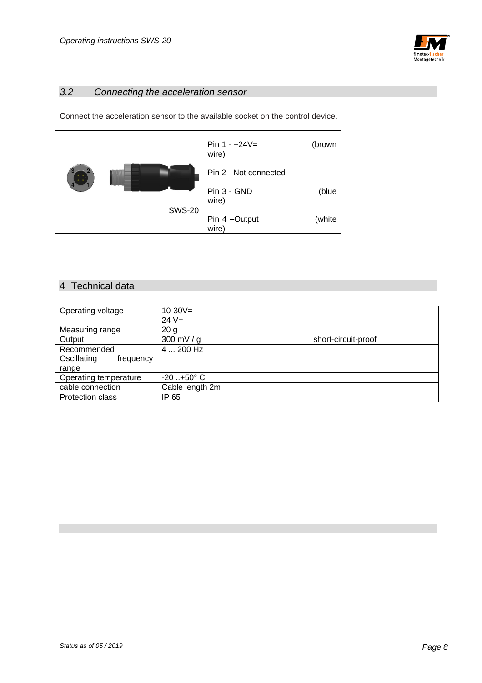

# *3.2 Connecting the acceleration sensor*

Connect the acceleration sensor to the available socket on the control device.

|               | Pin $1 - +24V =$<br>wire) | (brown |
|---------------|---------------------------|--------|
| 1.00000       | Pin 2 - Not connected     |        |
|               | Pin 3 - GND<br>wire)      | (blue  |
| <b>SWS-20</b> |                           |        |
|               | Pin 4 -Output             | (white |
|               | wire)                     |        |

# 4 Technical data

| Operating voltage        | $10-30V =$             |                     |
|--------------------------|------------------------|---------------------|
|                          | $24 V =$               |                     |
| Measuring range          | 20 <sub>g</sub>        |                     |
| Output                   | 300 mV / $q$           | short-circuit-proof |
| Recommended              | $4200$ Hz              |                     |
| Oscillating<br>frequency |                        |                     |
| range                    |                        |                     |
| Operating temperature    | $-20$ +50 $^{\circ}$ C |                     |
| cable connection         | Cable length 2m        |                     |
| Protection class         | IP 65                  |                     |